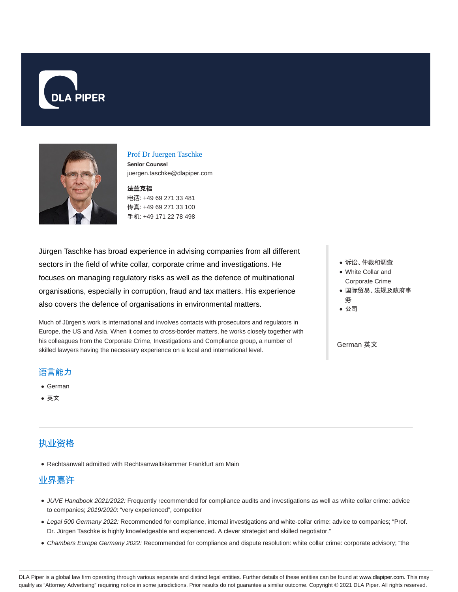



#### Prof Dr Juergen Taschke

**Senior Counsel** juergen.taschke@dlapiper.com

#### 法**兰**克福

电话: +49 69 271 33 481 传真: +49 69 271 33 100 手机: +49 171 22 78 498

Jürgen Taschke has broad experience in advising companies from all different sectors in the field of white collar, corporate crime and investigations. He focuses on managing regulatory risks as well as the defence of multinational organisations, especially in corruption, fraud and tax matters. His experience also covers the defence of organisations in environmental matters.

Much of Jürgen's work is international and involves contacts with prosecutors and regulators in Europe, the US and Asia. When it comes to cross-border matters, he works closely together with his colleagues from the Corporate Crime, Investigations and Compliance group, a number of skilled lawyers having the necessary experience on a local and international level.

### 诉讼、仲裁和调查

- White Collar and Corporate Crime
- 国际贸易、法规及政府事
- 务
- 公司

### German 英文

## 语言能力

- German
- 英文

## 执业资格

Rechtsanwalt admitted with Rechtsanwaltskammer Frankfurt am Main

## 业界嘉许

- JUVE Handbook 2021/2022: Frequently recommended for compliance audits and investigations as well as white collar crime: advice to companies; 2019/2020: "very experienced", competitor
- Legal 500 Germany 2022: Recommended for compliance, internal investigations and white-collar crime: advice to companies; "Prof. Dr. Jürgen Taschke is highly knowledgeable and experienced. A clever strategist and skilled negotiator."
- Chambers Europe Germany 2022: Recommended for compliance and dispute resolution: white collar crime: corporate advisory; "the

DLA Piper is a global law firm operating through various separate and distinct legal entities. Further details of these entities can be found at www.dlapiper.com. This may qualify as "Attorney Advertising" requiring notice in some jurisdictions. Prior results do not guarantee a similar outcome. Copyright © 2021 DLA Piper. All rights reserved.